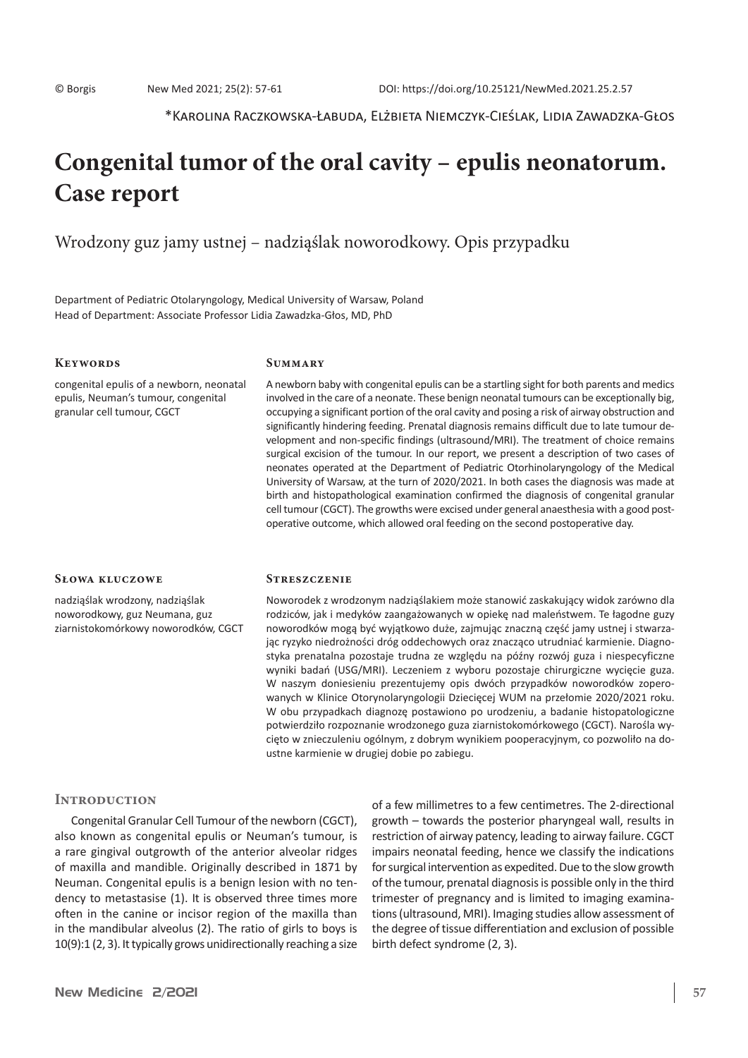\*Karolina Raczkowska-Łabuda, Elżbieta Niemczyk-Cieślak, Lidia Zawadzka-Głos

# **Congenital tumor of the oral cavity – epulis neonatorum. Case report**

Wrodzony guz jamy ustnej – nadziąślak noworodkowy. Opis przypadku

Department of Pediatric Otolaryngology, Medical University of Warsaw, Poland Head of Department: Associate Professor Lidia Zawadzka-Głos, MD, PhD

#### **Keywords**

congenital epulis of a newborn, neonatal epulis, Neuman's tumour, congenital granular cell tumour, CGCT

# **Summary**

A newborn baby with congenital epulis can be a startling sight for both parents and medics involved in the care of a neonate. These benign neonatal tumours can be exceptionally big, occupying a significant portion of the oral cavity and posing a risk of airway obstruction and significantly hindering feeding. Prenatal diagnosis remains difficult due to late tumour development and non-specific findings (ultrasound/MRI). The treatment of choice remains surgical excision of the tumour. In our report, we present a description of two cases of neonates operated at the Department of Pediatric Otorhinolaryngology of the Medical University of Warsaw, at the turn of 2020/2021. In both cases the diagnosis was made at birth and histopathological examination confirmed the diagnosis of congenital granular cell tumour (CGCT). The growths were excised under general anaesthesia with a good postoperative outcome, which allowed oral feeding on the second postoperative day.

#### **Słowa kluczowe**

nadziąślak wrodzony, nadziąślak noworodkowy, guz Neumana, guz ziarnistokomórkowy noworodków, CGCT

#### **Streszczenie**

Noworodek z wrodzonym nadziąślakiem może stanowić zaskakujący widok zarówno dla rodziców, jak i medyków zaangażowanych w opiekę nad maleństwem. Te łagodne guzy noworodków mogą być wyjątkowo duże, zajmując znaczną część jamy ustnej i stwarzając ryzyko niedrożności dróg oddechowych oraz znacząco utrudniać karmienie. Diagnostyka prenatalna pozostaje trudna ze względu na późny rozwój guza i niespecyficzne wyniki badań (USG/MRI). Leczeniem z wyboru pozostaje chirurgiczne wycięcie guza. W naszym doniesieniu prezentujemy opis dwóch przypadków noworodków zoperowanych w Klinice Otorynolaryngologii Dziecięcej WUM na przełomie 2020/2021 roku. W obu przypadkach diagnozę postawiono po urodzeniu, a badanie histopatologiczne potwierdziło rozpoznanie wrodzonego guza ziarnistokomórkowego (CGCT). Narośla wycięto w znieczuleniu ogólnym, z dobrym wynikiem pooperacyjnym, co pozwoliło na doustne karmienie w drugiej dobie po zabiegu.

#### **INTRODUCTION**

Congenital Granular Cell Tumour of the newborn (CGCT), also known as congenital epulis or Neuman's tumour, is a rare gingival outgrowth of the anterior alveolar ridges of maxilla and mandible. Originally described in 1871 by Neuman. Congenital epulis is a benign lesion with no tendency to metastasise (1). It is observed three times more often in the canine or incisor region of the maxilla than in the mandibular alveolus (2). The ratio of girls to boys is 10(9):1 (2, 3). It typically grows unidirectionally reaching a size of a few millimetres to a few centimetres. The 2-directional growth – towards the posterior pharyngeal wall, results in restriction of airway patency, leading to airway failure. CGCT impairs neonatal feeding, hence we classify the indications for surgical intervention as expedited. Due to the slow growth of the tumour, prenatal diagnosis is possible only in the third trimester of pregnancy and is limited to imaging examinations(ultrasound, MRI). Imaging studies allow assessment of the degree of tissue differentiation and exclusion of possible birth defect syndrome (2, 3).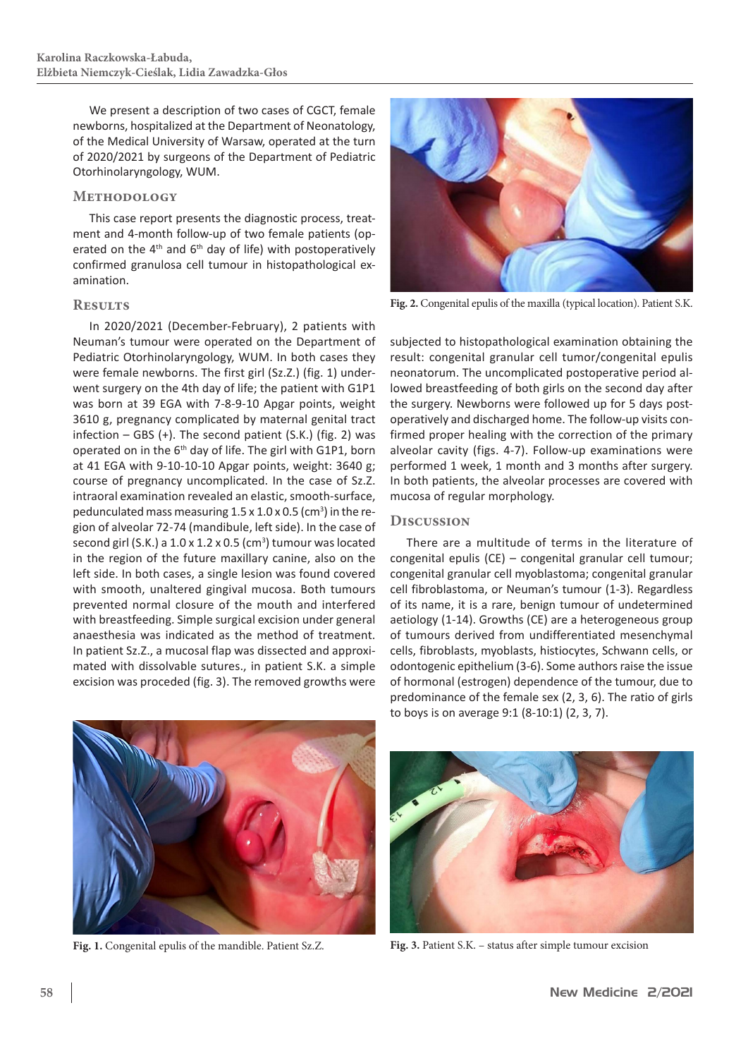We present a description of two cases of CGCT, female newborns, hospitalized at the Department of Neonatology, of the Medical University of Warsaw, operated at the turn of 2020/2021 by surgeons of the Department of Pediatric Otorhinolaryngology, WUM.

#### **Methodology**

This case report presents the diagnostic process, treatment and 4-month follow-up of two female patients (operated on the  $4<sup>th</sup>$  and  $6<sup>th</sup>$  day of life) with postoperatively confirmed granulosa cell tumour in histopathological examination.

# **Results**

In 2020/2021 (December-February), 2 patients with Neuman's tumour were operated on the Department of Pediatric Otorhinolaryngology, WUM. In both cases they were female newborns. The first girl (Sz.Z.) (fig. 1) underwent surgery on the 4th day of life; the patient with G1P1 was born at 39 EGA with 7-8-9-10 Apgar points, weight 3610 g, pregnancy complicated by maternal genital tract infection – GBS (+). The second patient (S.K.) (fig. 2) was operated on in the 6th day of life. The girl with G1P1, born at 41 EGA with 9-10-10-10 Apgar points, weight: 3640 g; course of pregnancy uncomplicated. In the case of Sz.Z. intraoral examination revealed an elastic, smooth-surface, pedunculated mass measuring  $1.5 \times 1.0 \times 0.5$  (cm<sup>3</sup>) in the region of alveolar 72-74 (mandibule, left side). In the case of second girl (S.K.) a  $1.0 \times 1.2 \times 0.5$  (cm<sup>3</sup>) tumour was located in the region of the future maxillary canine, also on the left side. In both cases, a single lesion was found covered with smooth, unaltered gingival mucosa. Both tumours prevented normal closure of the mouth and interfered with breastfeeding. Simple surgical excision under general anaesthesia was indicated as the method of treatment. In patient Sz.Z., a mucosal flap was dissected and approximated with dissolvable sutures., in patient S.K. a simple excision was proceded (fig. 3). The removed growths were



**Fig. 2.** Congenital epulis of the maxilla (typical location). Patient S.K.

subjected to histopathological examination obtaining the result: congenital granular cell tumor/congenital epulis neonatorum. The uncomplicated postoperative period allowed breastfeeding of both girls on the second day after the surgery. Newborns were followed up for 5 days postoperatively and discharged home. The follow-up visits confirmed proper healing with the correction of the primary alveolar cavity (figs. 4-7). Follow-up examinations were performed 1 week, 1 month and 3 months after surgery. In both patients, the alveolar processes are covered with mucosa of regular morphology.

## **Discussion**

There are a multitude of terms in the literature of congenital epulis (CE) – congenital granular cell tumour; congenital granular cell myoblastoma; congenital granular cell fibroblastoma, or Neuman's tumour (1-3). Regardless of its name, it is a rare, benign tumour of undetermined aetiology (1-14). Growths (CE) are a heterogeneous group of tumours derived from undifferentiated mesenchymal cells, fibroblasts, myoblasts, histiocytes, Schwann cells, or odontogenic epithelium (3-6). Some authors raise the issue of hormonal (estrogen) dependence of the tumour, due to predominance of the female sex (2, 3, 6). The ratio of girls to boys is on average 9:1 (8-10:1) (2, 3, 7).





**Fig. 1.** Congenital epulis of the mandible. Patient Sz.Z. **Fig. 3.** Patient S.K. – status after simple tumour excision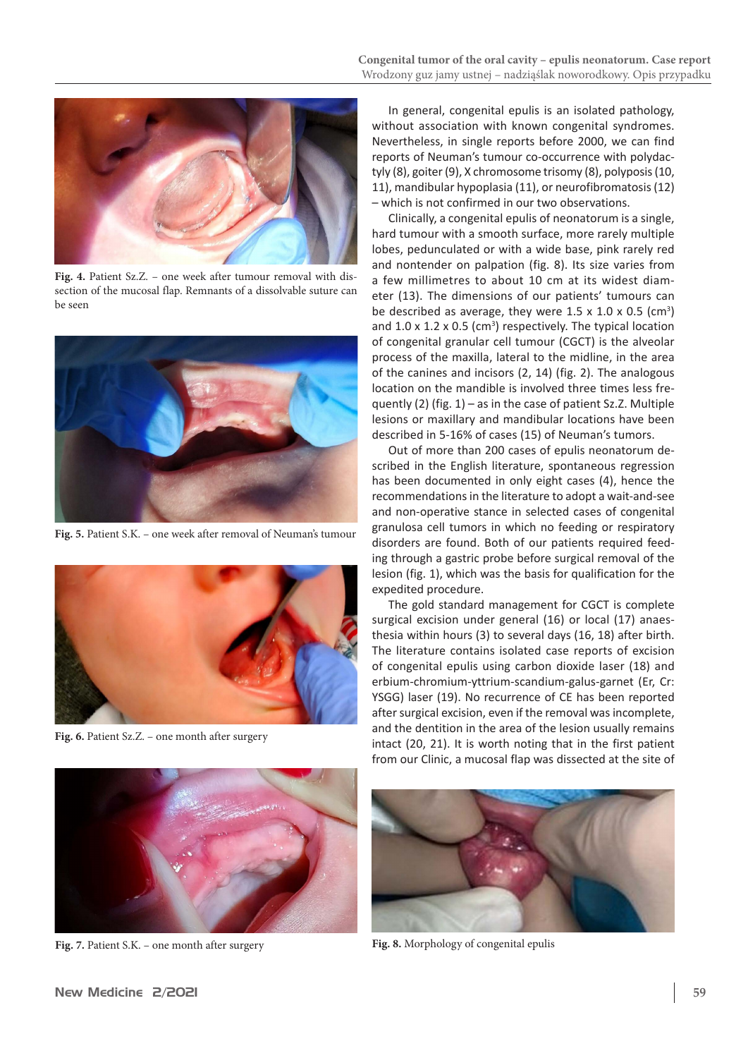

**Fig. 4.** Patient Sz.Z. – one week after tumour removal with dissection of the mucosal flap. Remnants of a dissolvable suture can be seen



**Fig. 5.** Patient S.K. – one week after removal of Neuman's tumour



**Fig. 6.** Patient Sz.Z. – one month after surgery

In general, congenital epulis is an isolated pathology, without association with known congenital syndromes. Nevertheless, in single reports before 2000, we can find reports of Neuman's tumour co-occurrence with polydactyly (8), goiter (9), X chromosome trisomy (8), polyposis (10, 11), mandibular hypoplasia (11), or neurofibromatosis(12) – which is not confirmed in our two observations.

Clinically, a congenital epulis of neonatorum is a single, hard tumour with a smooth surface, more rarely multiple lobes, pedunculated or with a wide base, pink rarely red and nontender on palpation (fig. 8). Its size varies from a few millimetres to about 10 cm at its widest diameter (13). The dimensions of our patients' tumours can be described as average, they were  $1.5 \times 1.0 \times 0.5$  (cm<sup>3</sup>) and  $1.0 \times 1.2 \times 0.5$  (cm<sup>3</sup>) respectively. The typical location of congenital granular cell tumour (CGCT) is the alveolar process of the maxilla, lateral to the midline, in the area of the canines and incisors (2, 14) (fig. 2). The analogous location on the mandible is involved three times less frequently (2) (fig. 1) – as in the case of patient Sz.Z. Multiple lesions or maxillary and mandibular locations have been described in 5-16% of cases (15) of Neuman's tumors.

Out of more than 200 cases of epulis neonatorum described in the English literature, spontaneous regression has been documented in only eight cases (4), hence the recommendations in the literature to adopt a wait-and-see and non-operative stance in selected cases of congenital granulosa cell tumors in which no feeding or respiratory disorders are found. Both of our patients required feeding through a gastric probe before surgical removal of the lesion (fig. 1), which was the basis for qualification for the expedited procedure.

The gold standard management for CGCT is complete surgical excision under general (16) or local (17) anaesthesia within hours (3) to several days (16, 18) after birth. The literature contains isolated case reports of excision of congenital epulis using carbon dioxide laser (18) and erbium-chromium-yttrium-scandium-galus-garnet (Er, Cr: YSGG) laser (19). No recurrence of CE has been reported after surgical excision, even if the removal was incomplete, and the dentition in the area of the lesion usually remains intact (20, 21). It is worth noting that in the first patient from our Clinic, a mucosal flap was dissected at the site of



**Fig. 7.** Patient S.K. – one month after surgery **Fig. 8.** Morphology of congenital epulis

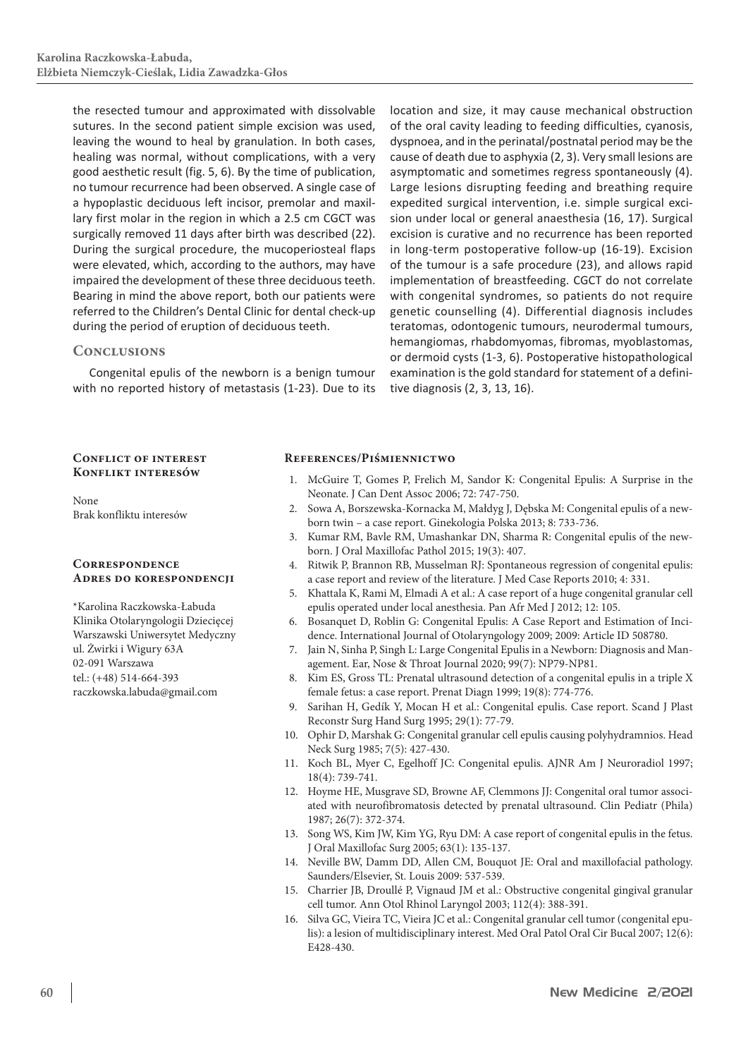the resected tumour and approximated with dissolvable sutures. In the second patient simple excision was used, leaving the wound to heal by granulation. In both cases, healing was normal, without complications, with a very good aesthetic result (fig. 5, 6). By the time of publication, no tumour recurrence had been observed. A single case of a hypoplastic deciduous left incisor, premolar and maxillary first molar in the region in which a 2.5 cm CGCT was surgically removed 11 days after birth was described (22). During the surgical procedure, the mucoperiosteal flaps were elevated, which, according to the authors, may have impaired the development of these three deciduous teeth. Bearing in mind the above report, both our patients were referred to the Children's Dental Clinic for dental check-up during the period of eruption of deciduous teeth.

## **Conclusions**

Congenital epulis of the newborn is a benign tumour with no reported history of metastasis (1-23). Due to its location and size, it may cause mechanical obstruction of the oral cavity leading to feeding difficulties, cyanosis, dyspnoea, and in the perinatal/postnatal period may be the cause of death due to asphyxia (2, 3). Very small lesions are asymptomatic and sometimes regress spontaneously (4). Large lesions disrupting feeding and breathing require expedited surgical intervention, i.e. simple surgical excision under local or general anaesthesia (16, 17). Surgical excision is curative and no recurrence has been reported in long-term postoperative follow-up (16-19). Excision of the tumour is a safe procedure (23), and allows rapid implementation of breastfeeding. CGCT do not correlate with congenital syndromes, so patients do not require genetic counselling (4). Differential diagnosis includes teratomas, odontogenic tumours, neurodermal tumours, hemangiomas, rhabdomyomas, fibromas, myoblastomas, or dermoid cysts (1-3, 6). Postoperative histopathological examination is the gold standard for statement of a definitive diagnosis (2, 3, 13, 16).

#### **Conflict of interest Konflikt interesów**

None Brak konfliktu interesów

## **Correspondence Adres do korespondencji**

\*Karolina Raczkowska-Łabuda Klinika Otolaryngologii Dziecięcej Warszawski Uniwersytet Medyczny ul. Żwirki i Wigury 63A 02-091 Warszawa tel.: (+48) 514-664-393 raczkowska.labuda@gmail.com

#### **References/Piśmiennictwo**

- 1. McGuire T, Gomes P, Frelich M, Sandor K: Congenital Epulis: A Surprise in the Neonate. J Can Dent Assoc 2006; 72: 747-750.
- 2. Sowa A, Borszewska-Kornacka M, Małdyg J, Dębska M: Congenital epulis of a newborn twin – a case report. Ginekologia Polska 2013; 8: 733-736.
- 3. Kumar RM, Bavle RM, Umashankar DN, Sharma R: Congenital epulis of the newborn. J Oral Maxillofac Pathol 2015; 19(3): 407.
- 4. Ritwik P, Brannon RB, Musselman RJ: Spontaneous regression of congenital epulis: a case report and review of the literature. J Med Case Reports 2010; 4: 331.
- 5. Khattala K, Rami M, Elmadi A et al.: A case report of a huge congenital granular cell epulis operated under local anesthesia. Pan Afr Med J 2012; 12: 105.
- 6. Bosanquet D, Roblin G: Congenital Epulis: A Case Report and Estimation of Incidence. International Journal of Otolaryngology 2009; 2009: Article ID 508780.
- 7. Jain N, Sinha P, Singh L: Large Congenital Epulis in a Newborn: Diagnosis and Management. Ear, Nose & Throat Journal 2020; 99(7): NP79-NP81.
- 8. Kim ES, Gross TL: Prenatal ultrasound detection of a congenital epulis in a triple X female fetus: a case report. Prenat Diagn 1999; 19(8): 774-776.
- 9. Sarihan H, Gedík Y, Mocan H et al.: Congenital epulis. Case report. Scand J Plast Reconstr Surg Hand Surg 1995; 29(1): 77-79.
- 10. Ophir D, Marshak G: Congenital granular cell epulis causing polyhydramnios. Head Neck Surg 1985; 7(5): 427-430.
- 11. Koch BL, Myer C, Egelhoff JC: Congenital epulis. AJNR Am J Neuroradiol 1997; 18(4): 739-741.
- 12. Hoyme HE, Musgrave SD, Browne AF, Clemmons JJ: Congenital oral tumor associated with neurofibromatosis detected by prenatal ultrasound. Clin Pediatr (Phila) 1987; 26(7): 372-374.
- 13. Song WS, Kim JW, Kim YG, Ryu DM: A case report of congenital epulis in the fetus. J Oral Maxillofac Surg 2005; 63(1): 135-137.
- 14. Neville BW, Damm DD, Allen CM, Bouquot JE: Oral and maxillofacial pathology. Saunders/Elsevier, St. Louis 2009: 537-539.
- 15. Charrier JB, Droullé P, Vignaud JM et al.: Obstructive congenital gingival granular cell tumor. Ann Otol Rhinol Laryngol 2003; 112(4): 388-391.
- 16. Silva GC, Vieira TC, Vieira JC et al.: Congenital granular cell tumor (congenital epulis): a lesion of multidisciplinary interest. Med Oral Patol Oral Cir Bucal 2007; 12(6): E428-430.